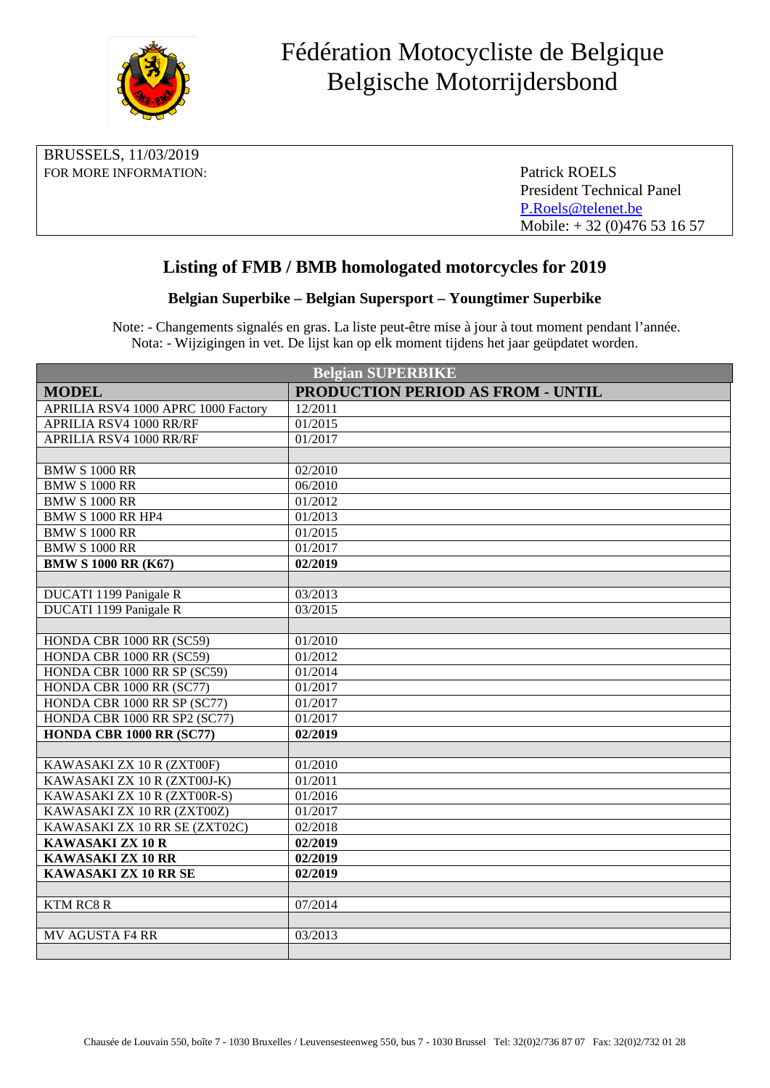

| BRUSSELS, 11/03/2019  |                                  |
|-----------------------|----------------------------------|
| FOR MORE INFORMATION: | Patrick ROELS                    |
|                       | <b>President Technical Panel</b> |
|                       | P.Roels@telenet.be               |
|                       | Mobile: $+32(0)476531657$        |

## **Listing of FMB / BMB homologated motorcycles for 2019**

## **Belgian Superbike – Belgian Supersport – Youngtimer Superbike**

Note: - Changements signalés en gras. La liste peut-être mise à jour à tout moment pendant l'année. Nota: - Wijzigingen in vet. De lijst kan op elk moment tijdens het jaar geüpdatet worden.

| <b>Belgian SUPERBIKE</b>            |                                          |  |
|-------------------------------------|------------------------------------------|--|
| <b>MODEL</b>                        | <b>PRODUCTION PERIOD AS FROM - UNTIL</b> |  |
| APRILIA RSV4 1000 APRC 1000 Factory | 12/2011                                  |  |
| APRILIA RSV4 1000 RR/RF             | 01/2015                                  |  |
| <b>APRILIA RSV4 1000 RR/RF</b>      | 01/2017                                  |  |
|                                     |                                          |  |
| <b>BMW S 1000 RR</b>                | 02/2010                                  |  |
| <b>BMW S 1000 RR</b>                | 06/2010                                  |  |
| <b>BMW S 1000 RR</b>                | 01/2012                                  |  |
| <b>BMW S 1000 RR HP4</b>            | 01/2013                                  |  |
| <b>BMW S 1000 RR</b>                | 01/2015                                  |  |
| <b>BMW S 1000 RR</b>                | 01/2017                                  |  |
| <b>BMW S 1000 RR (K67)</b>          | 02/2019                                  |  |
|                                     |                                          |  |
| DUCATI 1199 Panigale R              | 03/2013                                  |  |
| <b>DUCATI 1199 Panigale R</b>       | 03/2015                                  |  |
|                                     |                                          |  |
| HONDA CBR 1000 RR (SC59)            | 01/2010                                  |  |
| HONDA CBR 1000 RR (SC59)            | 01/2012                                  |  |
| HONDA CBR 1000 RR SP (SC59)         | 01/2014                                  |  |
| HONDA CBR 1000 RR (SC77)            | 01/2017                                  |  |
| HONDA CBR 1000 RR SP (SC77)         | 01/2017                                  |  |
| HONDA CBR 1000 RR SP2 (SC77)        | 01/2017                                  |  |
| HONDA CBR 1000 RR (SC77)            | 02/2019                                  |  |
|                                     |                                          |  |
| KAWASAKI ZX 10 R (ZXT00F)           | 01/2010                                  |  |
| KAWASAKI ZX 10 R (ZXT00J-K)         | 01/2011                                  |  |
| KAWASAKI ZX 10 R (ZXT00R-S)         | 01/2016                                  |  |
| KAWASAKI ZX 10 RR (ZXT00Z)          | 01/2017                                  |  |
| KAWASAKI ZX 10 RR SE (ZXT02C)       | 02/2018                                  |  |
| <b>KAWASAKI ZX 10 R</b>             | 02/2019                                  |  |
| <b>KAWASAKI ZX 10 RR</b>            | $\overline{0}$ 2/2019                    |  |
| KAWASAKI ZX 10 RR SE                | 02/2019                                  |  |
|                                     |                                          |  |
| <b>KTM RC8 R</b>                    | 07/2014                                  |  |
|                                     |                                          |  |
| <b>MV AGUSTA F4 RR</b>              | 03/2013                                  |  |
|                                     |                                          |  |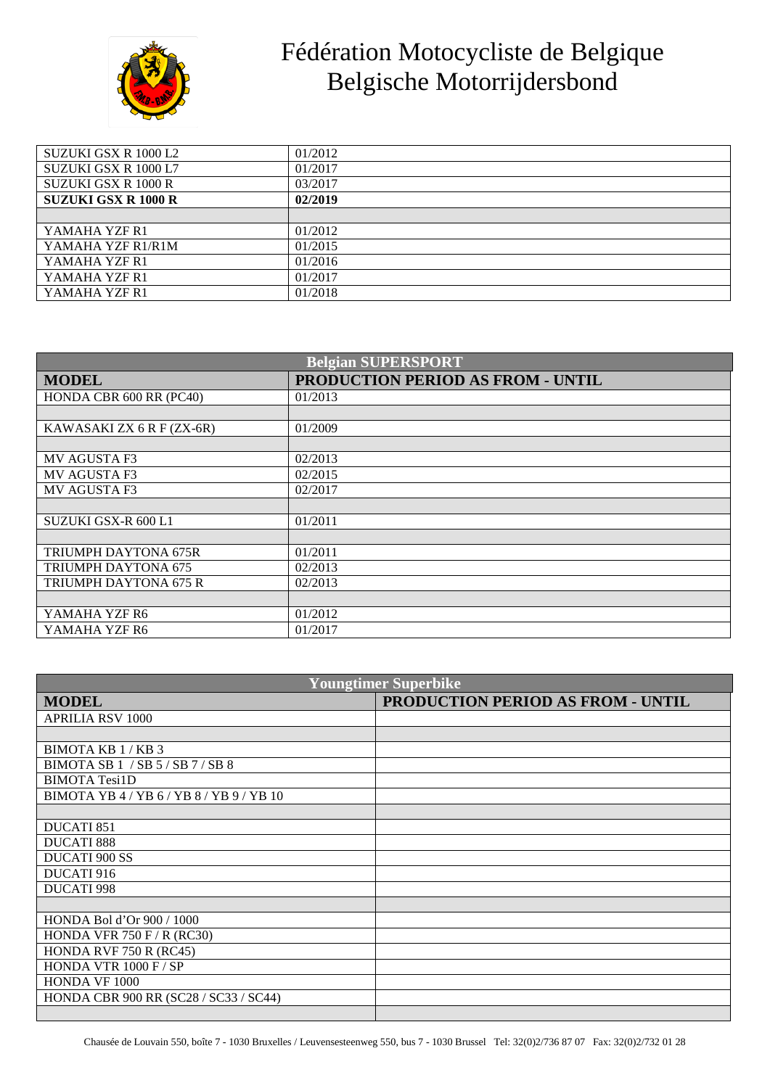

## Fédération Motocycliste de Belgique Belgische Motorrijdersbond

| SUZUKI GSX R 1000 L2       | 01/2012 |
|----------------------------|---------|
| SUZUKI GSX R 1000 L7       | 01/2017 |
| SUZUKI GSX R 1000 R        | 03/2017 |
| <b>SUZUKI GSX R 1000 R</b> | 02/2019 |
|                            |         |
| YAMAHA YZF R1              | 01/2012 |
| YAMAHA YZF R1/R1M          | 01/2015 |
| YAMAHA YZF R1              | 01/2016 |
| YAMAHA YZF R1              | 01/2017 |
| YAMAHA YZF R1              | 01/2018 |

| <b>Belgian SUPERSPORT</b>   |                                   |  |
|-----------------------------|-----------------------------------|--|
| <b>MODEL</b>                | PRODUCTION PERIOD AS FROM - UNTIL |  |
| HONDA CBR 600 RR (PC40)     | 01/2013                           |  |
|                             |                                   |  |
| KAWASAKI ZX 6 R F (ZX-6R)   | 01/2009                           |  |
|                             |                                   |  |
| <b>MV AGUSTA F3</b>         | 02/2013                           |  |
| <b>MV AGUSTA F3</b>         | 02/2015                           |  |
| <b>MV AGUSTA F3</b>         | 02/2017                           |  |
|                             |                                   |  |
| SUZUKI GSX-R 600 L1         | 01/2011                           |  |
|                             |                                   |  |
| <b>TRIUMPH DAYTONA 675R</b> | 01/2011                           |  |
| TRIUMPH DAYTONA 675         | 02/2013                           |  |
| TRIUMPH DAYTONA 675 R       | 02/2013                           |  |
|                             |                                   |  |
| YAMAHA YZF R6               | 01/2012                           |  |
| YAMAHA YZF R6               | 01/2017                           |  |

| <b>Youngtimer Superbike</b>              |                                   |  |
|------------------------------------------|-----------------------------------|--|
| <b>MODEL</b>                             | PRODUCTION PERIOD AS FROM - UNTIL |  |
| <b>APRILIA RSV 1000</b>                  |                                   |  |
|                                          |                                   |  |
| BIMOTA KB 1/KB 3                         |                                   |  |
| BIMOTA SB 1 / SB 5/ SB 7/ SB 8           |                                   |  |
| <b>BIMOTA Tesi1D</b>                     |                                   |  |
| BIMOTA YB 4 / YB 6 / YB 8 / YB 9 / YB 10 |                                   |  |
|                                          |                                   |  |
| <b>DUCATI 851</b>                        |                                   |  |
| <b>DUCATI 888</b>                        |                                   |  |
| <b>DUCATI 900 SS</b>                     |                                   |  |
| DUCATI 916                               |                                   |  |
| <b>DUCATI 998</b>                        |                                   |  |
|                                          |                                   |  |
| HONDA Bol d'Or 900 / 1000                |                                   |  |
| HONDA VFR 750 F / R (RC30)               |                                   |  |
| <b>HONDA RVF 750 R (RC45)</b>            |                                   |  |
| HONDA VTR $1000$ F / SP                  |                                   |  |
| HONDA VF 1000                            |                                   |  |
| HONDA CBR 900 RR (SC28 / SC33 / SC44)    |                                   |  |
|                                          |                                   |  |